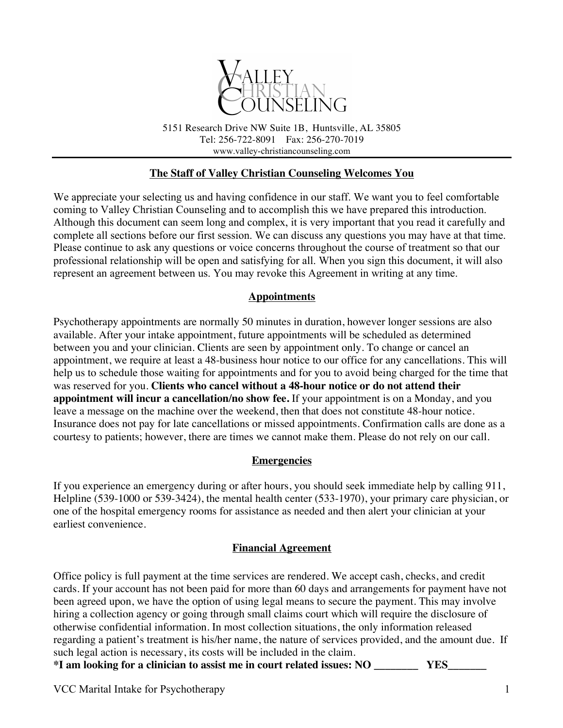

5151 Research Drive NW Suite 1B, Huntsville, AL 35805 Tel: 256-722-8091 Fax: 256-270-7019 www.valley-christiancounseling.com

## **The Staff of Valley Christian Counseling Welcomes You**

We appreciate your selecting us and having confidence in our staff. We want you to feel comfortable coming to Valley Christian Counseling and to accomplish this we have prepared this introduction. Although this document can seem long and complex, it is very important that you read it carefully and complete all sections before our first session. We can discuss any questions you may have at that time. Please continue to ask any questions or voice concerns throughout the course of treatment so that our professional relationship will be open and satisfying for all. When you sign this document, it will also represent an agreement between us. You may revoke this Agreement in writing at any time.

### **Appointments**

Psychotherapy appointments are normally 50 minutes in duration, however longer sessions are also available. After your intake appointment, future appointments will be scheduled as determined between you and your clinician. Clients are seen by appointment only. To change or cancel an appointment, we require at least a 48-business hour notice to our office for any cancellations. This will help us to schedule those waiting for appointments and for you to avoid being charged for the time that was reserved for you. **Clients who cancel without a 48-hour notice or do not attend their appointment will incur a cancellation/no show fee.** If your appointment is on a Monday, and you leave a message on the machine over the weekend, then that does not constitute 48-hour notice. Insurance does not pay for late cancellations or missed appointments. Confirmation calls are done as a courtesy to patients; however, there are times we cannot make them. Please do not rely on our call.

#### **Emergencies**

If you experience an emergency during or after hours, you should seek immediate help by calling 911, Helpline (539-1000 or 539-3424), the mental health center (533-1970), your primary care physician, or one of the hospital emergency rooms for assistance as needed and then alert your clinician at your earliest convenience.

#### **Financial Agreement**

Office policy is full payment at the time services are rendered. We accept cash, checks, and credit cards. If your account has not been paid for more than 60 days and arrangements for payment have not been agreed upon, we have the option of using legal means to secure the payment. This may involve hiring a collection agency or going through small claims court which will require the disclosure of otherwise confidential information. In most collection situations, the only information released regarding a patient's treatment is his/her name, the nature of services provided, and the amount due. If such legal action is necessary, its costs will be included in the claim.

**\*I am looking for a clinician to assist me in court related issues: NO \_\_\_\_\_\_\_\_ YES\_\_\_\_\_\_\_**

VCC Marital Intake for Psychotherapy 1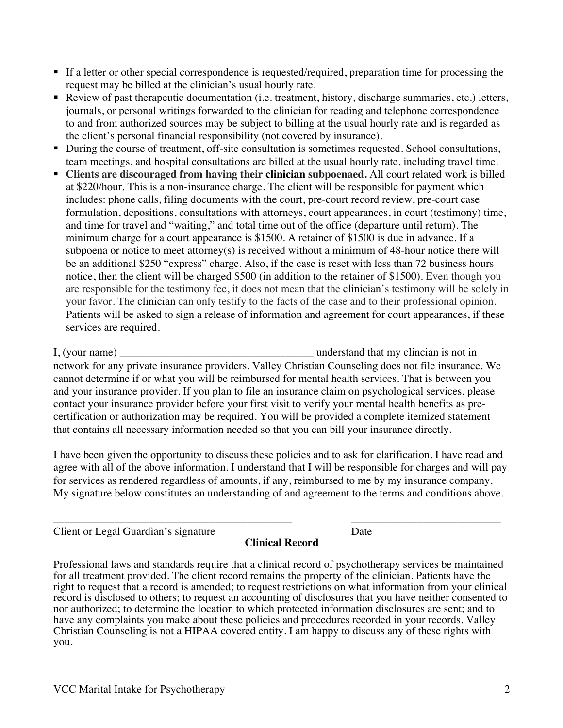- § If a letter or other special correspondence is requested/required, preparation time for processing the request may be billed at the clinician's usual hourly rate.
- Review of past therapeutic documentation (i.e. treatment, history, discharge summaries, etc.) letters, journals, or personal writings forwarded to the clinician for reading and telephone correspondence to and from authorized sources may be subject to billing at the usual hourly rate and is regarded as the client's personal financial responsibility (not covered by insurance).
- During the course of treatment, off-site consultation is sometimes requested. School consultations, team meetings, and hospital consultations are billed at the usual hourly rate, including travel time.
- § **Clients are discouraged from having their clinician subpoenaed.** All court related work is billed at \$220/hour. This is a non-insurance charge. The client will be responsible for payment which includes: phone calls, filing documents with the court, pre-court record review, pre-court case formulation, depositions, consultations with attorneys, court appearances, in court (testimony) time, and time for travel and "waiting," and total time out of the office (departure until return). The minimum charge for a court appearance is \$1500. A retainer of \$1500 is due in advance. If a subpoena or notice to meet attorney(s) is received without a minimum of 48-hour notice there will be an additional \$250 "express" charge. Also, if the case is reset with less than 72 business hours notice, then the client will be charged \$500 (in addition to the retainer of \$1500). Even though you are responsible for the testimony fee, it does not mean that the clinician's testimony will be solely in your favor. The clinician can only testify to the facts of the case and to their professional opinion. Patients will be asked to sign a release of information and agreement for court appearances, if these services are required.

I, (your name) \_\_\_\_\_\_\_\_\_\_\_\_\_\_\_\_\_\_\_\_\_\_\_\_\_\_\_\_\_\_\_\_\_\_\_ understand that my clincian is not in network for any private insurance providers. Valley Christian Counseling does not file insurance. We cannot determine if or what you will be reimbursed for mental health services. That is between you and your insurance provider. If you plan to file an insurance claim on psychological services, please contact your insurance provider before your first visit to verify your mental health benefits as precertification or authorization may be required. You will be provided a complete itemized statement that contains all necessary information needed so that you can bill your insurance directly.

I have been given the opportunity to discuss these policies and to ask for clarification. I have read and agree with all of the above information. I understand that I will be responsible for charges and will pay for services as rendered regardless of amounts, if any, reimbursed to me by my insurance company. My signature below constitutes an understanding of and agreement to the terms and conditions above.

| Client or Legal Guardian's signature |  |
|--------------------------------------|--|

### **Clinical Record**

Professional laws and standards require that a clinical record of psychotherapy services be maintained for all treatment provided. The client record remains the property of the clinician. Patients have the right to request that a record is amended; to request restrictions on what information from your clinical record is disclosed to others; to request an accounting of disclosures that you have neither consented to nor authorized; to determine the location to which protected information disclosures are sent; and to have any complaints you make about these policies and procedures recorded in your records. Valley Christian Counseling is not a HIPAA covered entity. I am happy to discuss any of these rights with you.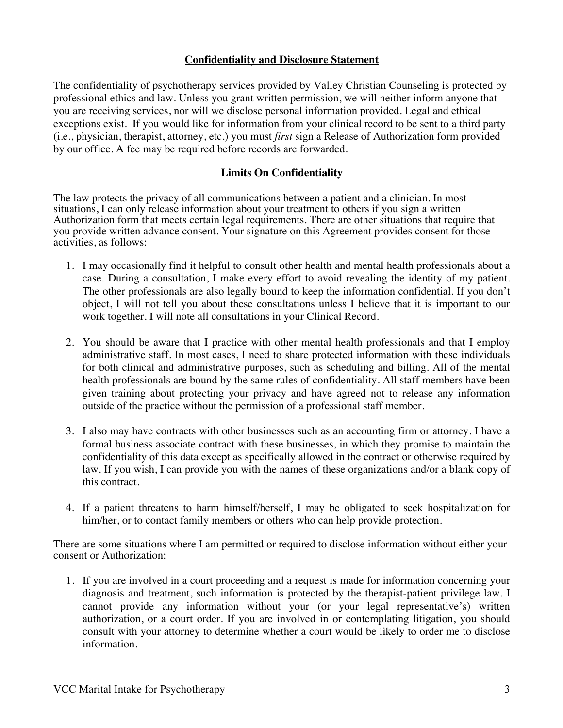#### **Confidentiality and Disclosure Statement**

The confidentiality of psychotherapy services provided by Valley Christian Counseling is protected by professional ethics and law. Unless you grant written permission, we will neither inform anyone that you are receiving services, nor will we disclose personal information provided. Legal and ethical exceptions exist. If you would like for information from your clinical record to be sent to a third party (i.e., physician, therapist, attorney, etc.) you must *first* sign a Release of Authorization form provided by our office. A fee may be required before records are forwarded.

## **Limits On Confidentiality**

The law protects the privacy of all communications between a patient and a clinician. In most situations, I can only release information about your treatment to others if you sign a written Authorization form that meets certain legal requirements. There are other situations that require that you provide written advance consent. Your signature on this Agreement provides consent for those activities, as follows:

- 1. I may occasionally find it helpful to consult other health and mental health professionals about a case. During a consultation, I make every effort to avoid revealing the identity of my patient. The other professionals are also legally bound to keep the information confidential. If you don't object, I will not tell you about these consultations unless I believe that it is important to our work together. I will note all consultations in your Clinical Record.
- 2. You should be aware that I practice with other mental health professionals and that I employ administrative staff. In most cases, I need to share protected information with these individuals for both clinical and administrative purposes, such as scheduling and billing. All of the mental health professionals are bound by the same rules of confidentiality. All staff members have been given training about protecting your privacy and have agreed not to release any information outside of the practice without the permission of a professional staff member.
- 3. I also may have contracts with other businesses such as an accounting firm or attorney. I have a formal business associate contract with these businesses, in which they promise to maintain the confidentiality of this data except as specifically allowed in the contract or otherwise required by law. If you wish, I can provide you with the names of these organizations and/or a blank copy of this contract.
- 4. If a patient threatens to harm himself/herself, I may be obligated to seek hospitalization for him/her, or to contact family members or others who can help provide protection.

There are some situations where I am permitted or required to disclose information without either your consent or Authorization:

1. If you are involved in a court proceeding and a request is made for information concerning your diagnosis and treatment, such information is protected by the therapist-patient privilege law. I cannot provide any information without your (or your legal representative's) written authorization, or a court order. If you are involved in or contemplating litigation, you should consult with your attorney to determine whether a court would be likely to order me to disclose information.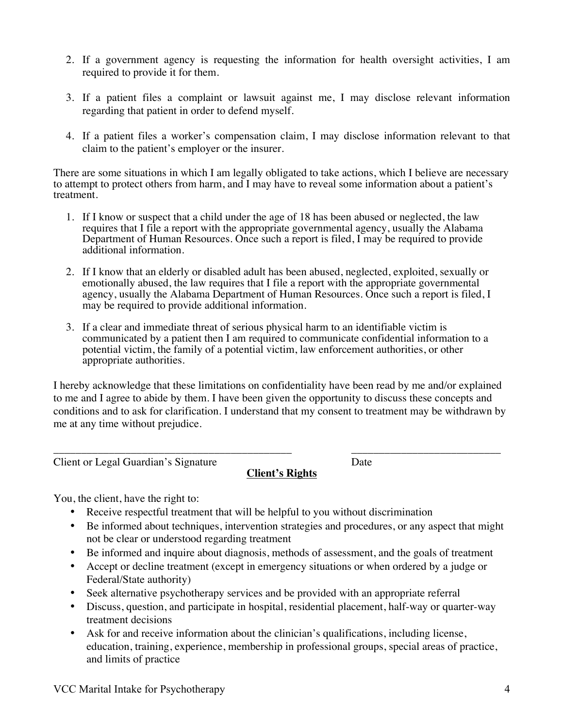- 2. If a government agency is requesting the information for health oversight activities, I am required to provide it for them.
- 3. If a patient files a complaint or lawsuit against me, I may disclose relevant information regarding that patient in order to defend myself.
- 4. If a patient files a worker's compensation claim, I may disclose information relevant to that claim to the patient's employer or the insurer.

There are some situations in which I am legally obligated to take actions, which I believe are necessary to attempt to protect others from harm, and I may have to reveal some information about a patient's treatment.

- 1. If I know or suspect that a child under the age of 18 has been abused or neglected, the law requires that I file a report with the appropriate governmental agency, usually the Alabama Department of Human Resources. Once such a report is filed, I may be required to provide additional information.
- 2. If I know that an elderly or disabled adult has been abused, neglected, exploited, sexually or emotionally abused, the law requires that I file a report with the appropriate governmental agency, usually the Alabama Department of Human Resources. Once such a report is filed, I may be required to provide additional information.
- 3. If a clear and immediate threat of serious physical harm to an identifiable victim is communicated by a patient then I am required to communicate confidential information to a potential victim, the family of a potential victim, law enforcement authorities, or other appropriate authorities.

I hereby acknowledge that these limitations on confidentiality have been read by me and/or explained to me and I agree to abide by them. I have been given the opportunity to discuss these concepts and conditions and to ask for clarification. I understand that my consent to treatment may be withdrawn by me at any time without prejudice.

Client or Legal Guardian's Signature Date

# **Client's Rights**

\_\_\_\_\_\_\_\_\_\_\_\_\_\_\_\_\_\_\_\_\_\_\_\_\_\_\_\_\_\_\_\_\_\_\_\_\_\_\_\_\_\_\_ \_\_\_\_\_\_\_\_\_\_\_\_\_\_\_\_\_\_\_\_\_\_\_\_\_\_\_

You, the client, have the right to:

- Receive respectful treatment that will be helpful to you without discrimination
- Be informed about techniques, intervention strategies and procedures, or any aspect that might not be clear or understood regarding treatment
- Be informed and inquire about diagnosis, methods of assessment, and the goals of treatment
- Accept or decline treatment (except in emergency situations or when ordered by a judge or Federal/State authority)
- Seek alternative psychotherapy services and be provided with an appropriate referral
- Discuss, question, and participate in hospital, residential placement, half-way or quarter-way treatment decisions
- Ask for and receive information about the clinician's qualifications, including license, education, training, experience, membership in professional groups, special areas of practice, and limits of practice

VCC Marital Intake for Psychotherapy 4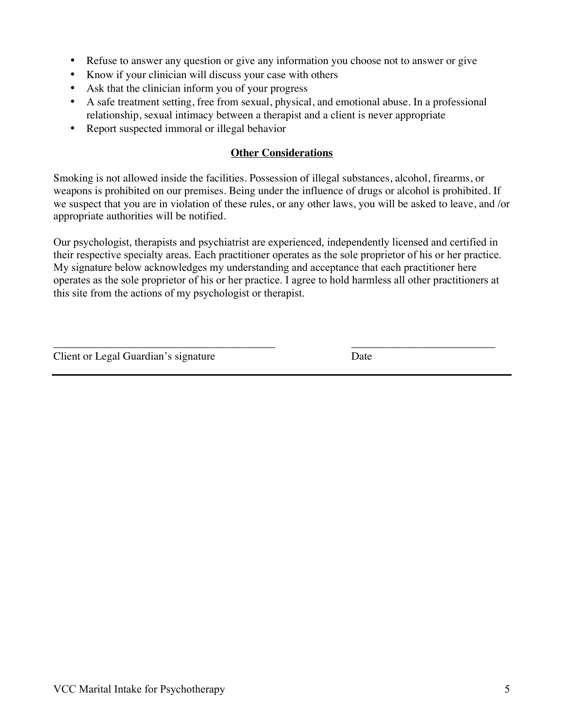- Refuse to answer any question or give any information you choose not to answer or give
- Know if your clinician will discuss your case with others
- Ask that the clinician inform you of your progress
- A safe treatment setting, free from sexual, physical, and emotional abuse. In a professional relationship, sexual intimacy between a therapist and a client is never appropriate
- Report suspected immoral or illegal behavior

## **Other Considerations**

Smoking is not allowed inside the facilities. Possession of illegal substances, alcohol, firearms, or weapons is prohibited on our premises. Being under the influence of drugs or alcohol is prohibited. If we suspect that you are in violation of these rules, or any other laws, you will be asked to leave, and /or appropriate authorities will be notified.

Our psychologist, therapists and psychiatrist are experienced, independently licensed and certified in their respective specialty areas. Each practitioner operates as the sole proprietor of his or her practice. My signature below acknowledges my understanding and acceptance that each practitioner here operates as the sole proprietor of his or her practice. I agree to hold harmless all other practitioners at this site from the actions of my psychologist or therapist.

Client or Legal Guardian's signature Date

\_\_\_\_\_\_\_\_\_\_\_\_\_\_\_\_\_\_\_\_\_\_\_\_\_\_\_\_\_\_\_\_\_\_\_\_\_\_\_\_ \_\_\_\_\_\_\_\_\_\_\_\_\_\_\_\_\_\_\_\_\_\_\_\_\_\_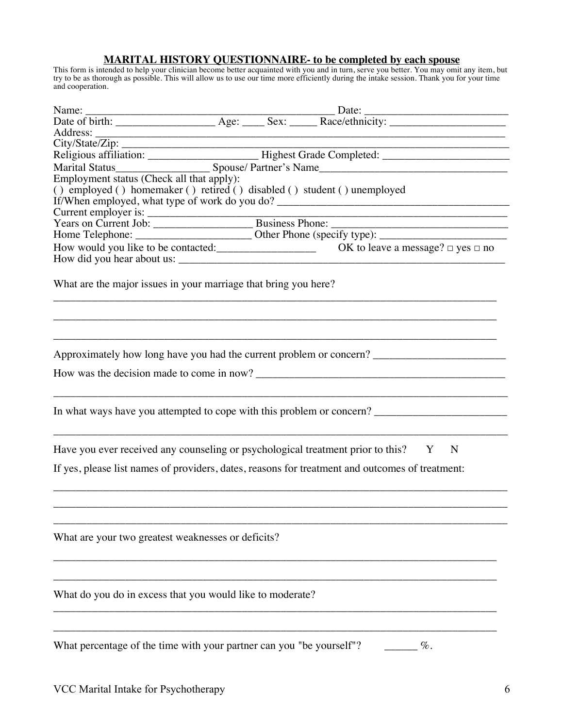#### **MARITAL HISTORY QUESTIONNAIRE- to be completed by each spouse**

This form is intended to help your clinician become better acquainted with you and in turn, serve you better. You may omit any item, but try to be as thorough as possible. This will allow us to use our time more efficiently during the intake session. Thank you for your time and cooperation.

| Employment status (Check all that apply):                                |  |                                                                                                      |
|--------------------------------------------------------------------------|--|------------------------------------------------------------------------------------------------------|
| () employed () homemaker () retired () disabled () student () unemployed |  |                                                                                                      |
|                                                                          |  | If/When employed, what type of work do you do? __________________________________                    |
|                                                                          |  |                                                                                                      |
|                                                                          |  |                                                                                                      |
|                                                                          |  |                                                                                                      |
|                                                                          |  |                                                                                                      |
|                                                                          |  |                                                                                                      |
|                                                                          |  |                                                                                                      |
| What are the major issues in your marriage that bring you here?          |  |                                                                                                      |
|                                                                          |  |                                                                                                      |
|                                                                          |  |                                                                                                      |
|                                                                          |  |                                                                                                      |
|                                                                          |  |                                                                                                      |
|                                                                          |  | Approximately how long have you had the current problem or concern? ________________________________ |
|                                                                          |  |                                                                                                      |
|                                                                          |  |                                                                                                      |
|                                                                          |  |                                                                                                      |
|                                                                          |  |                                                                                                      |
|                                                                          |  | In what ways have you attempted to cope with this problem or concern? ______________________________ |
|                                                                          |  |                                                                                                      |
|                                                                          |  |                                                                                                      |
|                                                                          |  | Have you ever received any counseling or psychological treatment prior to this? Y N                  |
|                                                                          |  | If yes, please list names of providers, dates, reasons for treatment and outcomes of treatment:      |
|                                                                          |  |                                                                                                      |
|                                                                          |  |                                                                                                      |
|                                                                          |  |                                                                                                      |
|                                                                          |  |                                                                                                      |
|                                                                          |  |                                                                                                      |
| What are your two greatest weaknesses or deficits?                       |  |                                                                                                      |
|                                                                          |  |                                                                                                      |
|                                                                          |  |                                                                                                      |
|                                                                          |  |                                                                                                      |
| What do you do in excess that you would like to moderate?                |  |                                                                                                      |
|                                                                          |  |                                                                                                      |
|                                                                          |  |                                                                                                      |
|                                                                          |  |                                                                                                      |
| What percentage of the time with your partner can you "be yourself"?     |  | $\%$ .                                                                                               |
|                                                                          |  |                                                                                                      |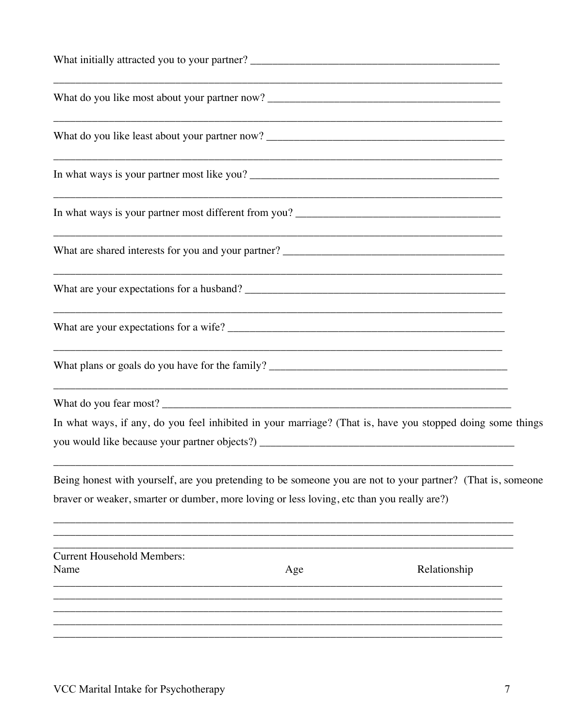| What initially attracted you to your partner? ___________________________________                                                                                                                         |  |
|-----------------------------------------------------------------------------------------------------------------------------------------------------------------------------------------------------------|--|
|                                                                                                                                                                                                           |  |
|                                                                                                                                                                                                           |  |
|                                                                                                                                                                                                           |  |
|                                                                                                                                                                                                           |  |
|                                                                                                                                                                                                           |  |
|                                                                                                                                                                                                           |  |
|                                                                                                                                                                                                           |  |
|                                                                                                                                                                                                           |  |
| ,我们也不能在这里的时候,我们也不能在这里的时候,我们也不能在这里的时候,我们也不能会在这里的时候,我们也不能会在这里的时候,我们也不能会在这里的时候,我们也不                                                                                                                          |  |
| In what ways, if any, do you feel inhibited in your marriage? (That is, have you stopped doing some things                                                                                                |  |
| Being honest with yourself, are you pretending to be someone you are not to your partner? (That is, someone<br>braver or weaker, smarter or dumber, more loving or less loving, etc than you really are?) |  |
| <b>Current Household Members:</b><br>Relationship<br>Name<br>Age                                                                                                                                          |  |
|                                                                                                                                                                                                           |  |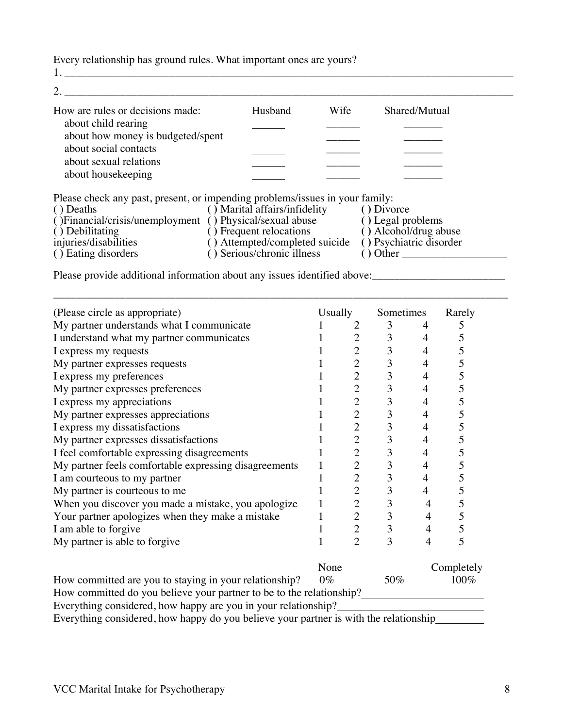Every relationship has ground rules. What important ones are yours?

1. \_\_\_\_\_\_\_\_\_\_\_\_\_\_\_\_\_\_\_\_\_\_\_\_\_\_\_\_\_\_\_\_\_\_\_\_\_\_\_\_\_\_\_\_\_\_\_\_\_\_\_\_\_\_\_\_\_\_\_\_\_\_\_\_\_\_\_\_\_\_\_\_\_\_\_\_\_\_\_\_\_

| How are rules or decisions made:  | Husband | Wife | Shared/Mutual |  |
|-----------------------------------|---------|------|---------------|--|
| about child rearing               |         |      |               |  |
| about how money is budgeted/spent |         |      |               |  |
| about social contacts             |         |      |               |  |
| about sexual relations            |         |      |               |  |
| about housekeeping                |         |      |               |  |

Please check any past, present, or impending problems/issues in your family:

| () Deaths                                                 | () Marital affairs/infidelity  | () Divorce              |
|-----------------------------------------------------------|--------------------------------|-------------------------|
| () Financial/crisis/unemployment () Physical/sexual abuse |                                | () Legal problems       |
| () Debilitating                                           | () Frequent relocations        | () Alcohol/drug abuse   |
| injuries/disabilities                                     | () Attempted/completed suicide | () Psychiatric disorder |
| () Eating disorders                                       | () Serious/chronic illness     | () Other                |
|                                                           |                                |                         |

\_\_\_\_\_\_\_\_\_\_\_\_\_\_\_\_\_\_\_\_\_\_\_\_\_\_\_\_\_\_\_\_\_\_\_\_\_\_\_\_\_\_\_\_\_\_\_\_\_\_\_\_\_\_\_\_\_\_\_\_\_\_\_\_\_\_\_\_\_\_\_\_\_\_\_\_\_\_\_\_\_\_

Please provide additional information about any issues identified above:<br>
<u>Please</u> provide additional information about any issues identified above:

| (Please circle as appropriate)                                           | <b>Usually</b> |                | Sometimes |   | Rarely     |
|--------------------------------------------------------------------------|----------------|----------------|-----------|---|------------|
| My partner understands what I communicate                                |                |                | 3         |   |            |
| I understand what my partner communicates                                |                | $\overline{2}$ | 3         |   |            |
| I express my requests                                                    |                | $\overline{2}$ | 3         |   |            |
| My partner expresses requests                                            |                | $\overline{2}$ | 3         | 4 |            |
| I express my preferences                                                 |                | $\overline{2}$ | 3         | 4 | C          |
| My partner expresses preferences                                         |                | $\overline{2}$ | 3         | 4 |            |
| I express my appreciations                                               |                | $\overline{2}$ | 3         | 4 | C          |
| My partner expresses appreciations                                       |                | $\overline{2}$ | 3         | 4 |            |
| I express my dissatisfactions                                            |                | $\overline{2}$ | 3         | 4 |            |
| My partner expresses dissatisfactions                                    |                | $\overline{2}$ | 3         | 4 | ን          |
| I feel comfortable expressing disagreements                              |                | $\overline{2}$ | 3         | 4 |            |
| My partner feels comfortable expressing disagreements                    |                | $\overline{2}$ | 3         | 4 | C          |
| I am courteous to my partner                                             |                | $\overline{2}$ | 3         | 4 |            |
| My partner is courteous to me                                            |                | $\overline{2}$ | 3         | 4 |            |
| When you discover you made a mistake, you apologize                      |                | $\overline{2}$ | 3         |   |            |
| Your partner apologizes when they make a mistake                         |                | $\overline{2}$ | 3         |   |            |
| I am able to forgive                                                     |                | $\overline{2}$ | 3         |   |            |
| My partner is able to forgive                                            |                | $\overline{c}$ | 3         |   |            |
|                                                                          | None           |                |           |   | Completely |
| $H_{\text{corr}}$ consumitted one results atoming in result attachments. | ∩∼             |                | 50a       |   | 1 $\cap$   |

How committed are you to staying in your relationship?  $0\%$  50% 100% How committed do you believe your partner to be to the relationship?

Everything considered, how happy are you in your relationship?

Everything considered, how happy do you believe your partner is with the relationship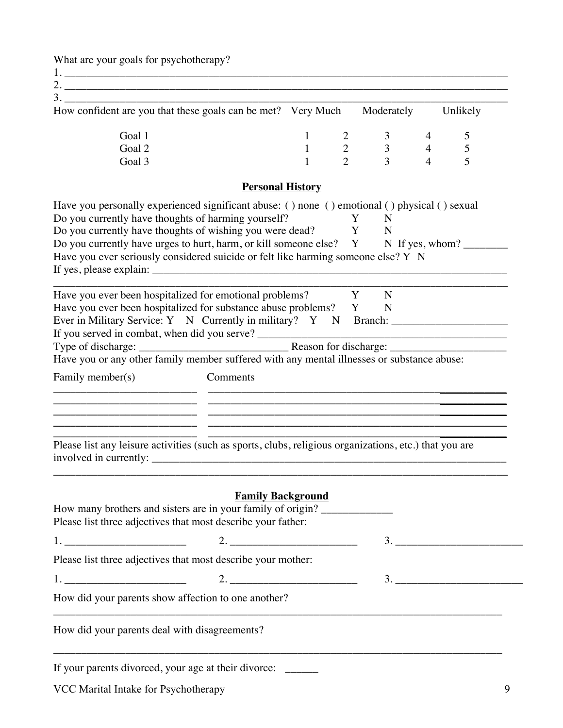What are your goals for psychotherapy?

1. \_\_\_\_\_\_\_\_\_\_\_\_\_\_\_\_\_\_\_\_\_\_\_\_\_\_\_\_\_\_\_\_\_\_\_\_\_\_\_\_\_\_\_\_\_\_\_\_\_\_\_\_\_\_\_\_\_\_\_\_\_\_\_\_\_\_\_\_\_\_\_\_\_\_\_\_\_\_\_\_

2. \_\_\_\_\_\_\_\_\_\_\_\_\_\_\_\_\_\_\_\_\_\_\_\_\_\_\_\_\_\_\_\_\_\_\_\_\_\_\_\_\_\_\_\_\_\_\_\_\_\_\_\_\_\_\_\_\_\_\_\_\_\_\_\_\_\_\_\_\_\_\_\_\_\_\_\_\_\_\_\_

| How confident are you that these goals can be met? Very Much |  | Moderately | Unlikely |
|--------------------------------------------------------------|--|------------|----------|
| Goal 1                                                       |  |            |          |
| Goal 2                                                       |  |            |          |
| Goal 3                                                       |  |            |          |

# **Personal History**

|                                               | Do you currently have thoughts of harming yourself?<br><b>Example 1</b><br>Do you currently have thoughts of wishing you were dead? Y N                                                                                                  | N  |
|-----------------------------------------------|------------------------------------------------------------------------------------------------------------------------------------------------------------------------------------------------------------------------------------------|----|
|                                               | Do you currently have urges to hurt, harm, or kill someone else? Y N If yes, whom?<br>Have you ever seriously considered suicide or felt like harming someone else? Y N                                                                  |    |
|                                               | Have you ever been hospitalized for emotional problems? Y                                                                                                                                                                                | N  |
|                                               | Have you ever been hospitalized for substance abuse problems? Y N<br>Ever in Military Service: Y N Currently in military? Y N Branch: ________________                                                                                   |    |
|                                               |                                                                                                                                                                                                                                          |    |
|                                               | Type of discharge: <u>Reason for discharge: Reason for discharge:</u> Reason for discharge: <u>Reason for discharge:</u> Reason for discharge: Reason for discharge: Reason for discharge: Reason for discharge: Reason for discharge: R |    |
|                                               |                                                                                                                                                                                                                                          |    |
| Family member(s)                              | Comments                                                                                                                                                                                                                                 |    |
|                                               |                                                                                                                                                                                                                                          |    |
|                                               |                                                                                                                                                                                                                                          |    |
|                                               |                                                                                                                                                                                                                                          |    |
|                                               |                                                                                                                                                                                                                                          |    |
|                                               | Please list any leisure activities (such as sports, clubs, religious organizations, etc.) that you are                                                                                                                                   |    |
|                                               | <b>Family Background</b>                                                                                                                                                                                                                 |    |
|                                               | How many brothers and sisters are in your family of origin?                                                                                                                                                                              |    |
|                                               | Please list three adjectives that most describe your father:                                                                                                                                                                             |    |
|                                               |                                                                                                                                                                                                                                          | 3. |
|                                               | Please list three adjectives that most describe your mother:                                                                                                                                                                             |    |
|                                               | 1. $\qquad \qquad 2.$                                                                                                                                                                                                                    | 3. |
|                                               | How did your parents show affection to one another?                                                                                                                                                                                      |    |
| How did your parents deal with disagreements? |                                                                                                                                                                                                                                          |    |

VCC Marital Intake for Psychotherapy 9